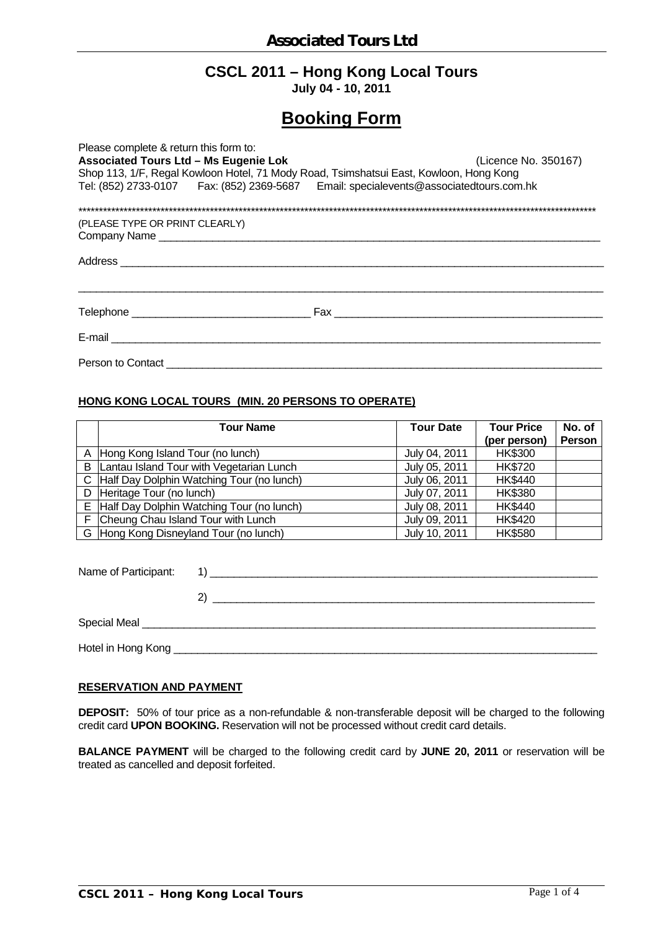# **CSCL 2011 – Hong Kong Local Tours**

**July 04 - 10, 2011** 

# **Booking Form**

| Please complete & return this form to:                                                 |                                                                                                                                                                                                                                |  |  |  |  |
|----------------------------------------------------------------------------------------|--------------------------------------------------------------------------------------------------------------------------------------------------------------------------------------------------------------------------------|--|--|--|--|
| <b>Associated Tours Ltd - Ms Eugenie Lok</b><br>(Licence No. 350167)                   |                                                                                                                                                                                                                                |  |  |  |  |
| Shop 113, 1/F, Regal Kowloon Hotel, 71 Mody Road, Tsimshatsui East, Kowloon, Hong Kong |                                                                                                                                                                                                                                |  |  |  |  |
| Tel: (852) 2733-0107 Fax: (852) 2369-5687 Email: specialevents@associatedtours.com.hk  |                                                                                                                                                                                                                                |  |  |  |  |
|                                                                                        |                                                                                                                                                                                                                                |  |  |  |  |
| (PLEASE TYPE OR PRINT CLEARLY)                                                         |                                                                                                                                                                                                                                |  |  |  |  |
|                                                                                        |                                                                                                                                                                                                                                |  |  |  |  |
|                                                                                        | Fax and the contract of the contract of the contract of the contract of the contract of the contract of the contract of the contract of the contract of the contract of the contract of the contract of the contract of the co |  |  |  |  |
| E-mail <u>________________________________</u>                                         |                                                                                                                                                                                                                                |  |  |  |  |
| Person to Contact                                                                      |                                                                                                                                                                                                                                |  |  |  |  |

### **HONG KONG LOCAL TOURS (MIN. 20 PERSONS TO OPERATE)**

|   | <b>Tour Name</b>                            | <b>Tour Date</b> | <b>Tour Price</b><br>(per person) | No. of<br>Person |
|---|---------------------------------------------|------------------|-----------------------------------|------------------|
|   | A Hong Kong Island Tour (no lunch)          | July 04, 2011    | <b>HK\$300</b>                    |                  |
| B | Lantau Island Tour with Vegetarian Lunch    | July 05, 2011    | <b>HK\$720</b>                    |                  |
|   | C Half Day Dolphin Watching Tour (no lunch) | July 06, 2011    | <b>HK\$440</b>                    |                  |
|   | D Heritage Tour (no lunch)                  | July 07, 2011    | <b>HK\$380</b>                    |                  |
|   | E Half Day Dolphin Watching Tour (no lunch) | July 08, 2011    | <b>HK\$440</b>                    |                  |
|   | F Cheung Chau Island Tour with Lunch        | July 09, 2011    | <b>HK\$420</b>                    |                  |
|   | G Hong Kong Disneyland Tour (no lunch)      | July 10, 2011    | <b>HK\$580</b>                    |                  |

| Name of Participant: | <u> 1989 - Johann Barn, mars and de format de la provincia de la provincia de la provincia de la provincia de la</u> |
|----------------------|----------------------------------------------------------------------------------------------------------------------|
|                      |                                                                                                                      |
|                      |                                                                                                                      |
| Hotel in Hong Kong   |                                                                                                                      |

## **RESERVATION AND PAYMENT**

**DEPOSIT:** 50% of tour price as a non-refundable & non-transferable deposit will be charged to the following credit card **UPON BOOKING.** Reservation will not be processed without credit card details.

**BALANCE PAYMENT** will be charged to the following credit card by **JUNE 20, 2011** or reservation will be treated as cancelled and deposit forfeited.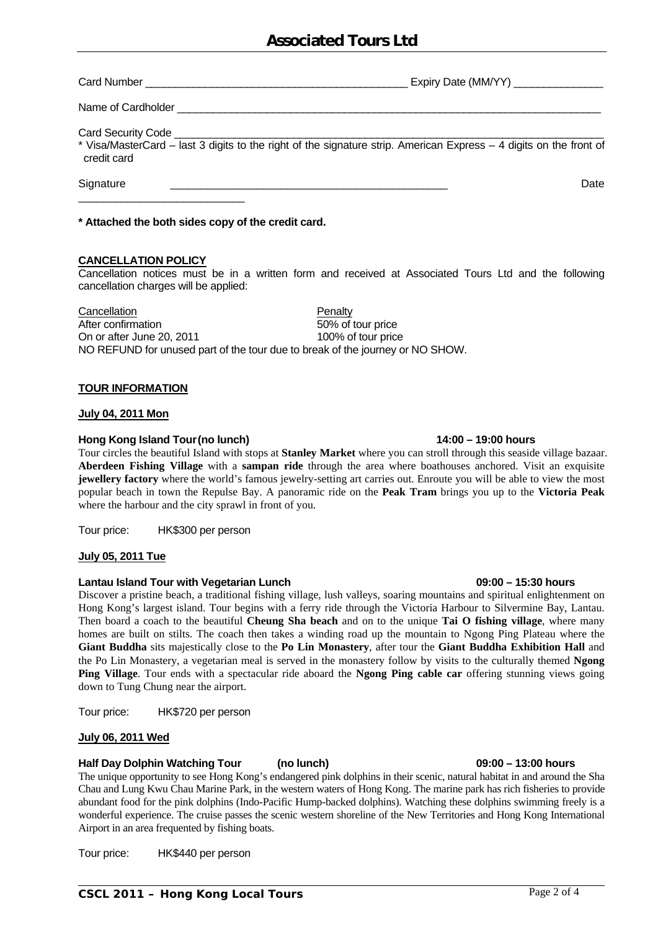Chau and Lung Kwu Chau Marine Park, in the western waters of Hong Kong. The marine park has rich fisheries to provide abundant food for the pink dolphins (Indo-Pacific Hump-backed dolphins). Watching these dolphins swimming freely is a wonderful experience. The cruise passes the scenic western shoreline of the New Territories and Hong Kong International Airport in an area frequented by fishing boats.

The unique opportunity to see Hong Kong's endangered pink dolphins in their scenic, natural habitat in and around the Sha

Tour price: HK\$440 per person

Card Number \_\_\_\_\_\_\_\_\_\_\_\_\_\_\_\_\_\_\_\_\_\_\_\_\_\_\_\_\_\_\_\_\_\_\_\_\_\_\_\_\_\_\_\_ Expiry Date (MM/YY) \_\_\_\_\_\_\_\_\_\_\_\_\_\_\_

Name of Cardholder

Card Security Code

\* Visa/MasterCard – last 3 digits to the right of the signature strip. American Express – 4 digits on the front of credit card

Signature \_\_\_\_\_\_\_\_\_\_\_\_\_\_\_\_\_\_\_\_\_\_\_\_\_\_\_\_\_\_\_\_\_\_\_\_\_\_\_\_\_\_\_\_\_ Date

**\* Attached the both sides copy of the credit card.** 

# **CANCELLATION POLICY**

\_\_\_\_\_\_\_\_\_\_\_\_\_\_\_\_\_\_\_\_\_\_\_\_\_\_\_

Cancellation notices must be in a written form and received at Associated Tours Ltd and the following cancellation charges will be applied:

Cancellation **Penalty** After confirmation 60% of tour price On or after June 20, 2011 100% of tour price NO REFUND for unused part of the tour due to break of the journey or NO SHOW.

# **TOUR INFORMATION**

# **July 04, 2011 Mon**

## **Hong Kong Island Tour (no lunch) 14:00 – 19:00 hours**

Tour circles the beautiful Island with stops at **Stanley Market** where you can stroll through this seaside village bazaar. **Aberdeen Fishing Village** with a **sampan ride** through the area where boathouses anchored. Visit an exquisite **jewellery factory** where the world's famous jewelry-setting art carries out. Enroute you will be able to view the most popular beach in town the Repulse Bay. A panoramic ride on the **Peak Tram** brings you up to the **Victoria Peak** where the harbour and the city sprawl in front of you.

Tour price: HK\$300 per person

### **July 05, 2011 Tue**

### **Lantau Island Tour with Vegetarian Lunch 09:00 – 15:30 hours**

Discover a pristine beach, a traditional fishing village, lush valleys, soaring mountains and spiritual enlightenment on Hong Kong's largest island. Tour begins with a ferry ride through the Victoria Harbour to Silvermine Bay, Lantau. Then board a coach to the beautiful **Cheung Sha beach** and on to the unique **Tai O fishing village**, where many homes are built on stilts. The coach then takes a winding road up the mountain to Ngong Ping Plateau where the **Giant Buddha** sits majestically close to the **Po Lin Monastery**, after tour the **Giant Buddha Exhibition Hall** and the Po Lin Monastery, a vegetarian meal is served in the monastery follow by visits to the culturally themed **Ngong Ping Village**. Tour ends with a spectacular ride aboard the **Ngong Ping cable car** offering stunning views going down to Tung Chung near the airport.

Tour price: HK\$720 per person

### **July 06, 2011 Wed**

# **CSCL 2011 – Hong Kong Local Tours** Page 2 of 4

# **Half Day Dolphin Watching Tour (no lunch) 09:00 – 13:00 hours**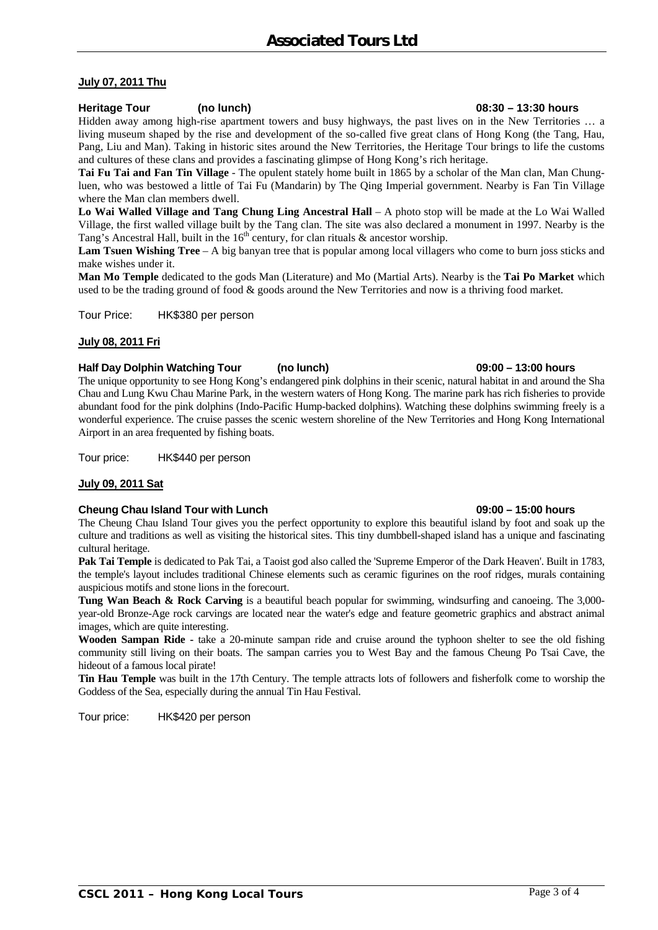### **July 07, 2011 Thu**

#### **Heritage Tour (no lunch) 08:30 – 13:30 hours**

Hidden away among high-rise apartment towers and busy highways, the past lives on in the New Territories … a living museum shaped by the rise and development of the so-called five great clans of Hong Kong (the Tang, Hau, Pang, Liu and Man). Taking in historic sites around the New Territories, the Heritage Tour brings to life the customs and cultures of these clans and provides a fascinating glimpse of Hong Kong's rich heritage.

**Tai Fu Tai and Fan Tin Village** - The opulent stately home built in 1865 by a scholar of the Man clan, Man Chungluen, who was bestowed a little of Tai Fu (Mandarin) by The Qing Imperial government. Nearby is Fan Tin Village where the Man clan members dwell.

**Lo Wai Walled Village and Tang Chung Ling Ancestral Hall** – A photo stop will be made at the Lo Wai Walled Village, the first walled village built by the Tang clan. The site was also declared a monument in 1997. Nearby is the Tang's Ancestral Hall, built in the  $16<sup>th</sup>$  century, for clan rituals & ancestor worship.

**Lam Tsuen Wishing Tree** – A big banyan tree that is popular among local villagers who come to burn joss sticks and make wishes under it.

**Man Mo Temple** dedicated to the gods Man (Literature) and Mo (Martial Arts). Nearby is the **Tai Po Market** which used to be the trading ground of food & goods around the New Territories and now is a thriving food market.

Tour Price: HK\$380 per person

#### **July 08, 2011 Fri**

#### **Half Day Dolphin Watching Tour (no lunch) 09:00 – 13:00 hours**

The unique opportunity to see Hong Kong's endangered pink dolphins in their scenic, natural habitat in and around the Sha Chau and Lung Kwu Chau Marine Park, in the western waters of Hong Kong. The marine park has rich fisheries to provide abundant food for the pink dolphins (Indo-Pacific Hump-backed dolphins). Watching these dolphins swimming freely is a wonderful experience. The cruise passes the scenic western shoreline of the New Territories and Hong Kong International Airport in an area frequented by fishing boats.

Tour price: HK\$440 per person

#### **July 09, 2011 Sat**

#### Cheung Chau Island Tour with Lunch **09:00 – 15:00 hours** 09:00 – 15:00 hours

The Cheung Chau Island Tour gives you the perfect opportunity to explore this beautiful island by foot and soak up the culture and traditions as well as visiting the historical sites. This tiny dumbbell-shaped island has a unique and fascinating cultural heritage.

**Pak Tai Temple** is dedicated to Pak Tai, a Taoist god also called the 'Supreme Emperor of the Dark Heaven'. Built in 1783, the temple's layout includes traditional Chinese elements such as ceramic figurines on the roof ridges, murals containing auspicious motifs and stone lions in the forecourt.

**Tung Wan Beach & Rock Carving** is a beautiful beach popular for swimming, windsurfing and canoeing. The 3,000 year-old Bronze-Age rock carvings are located near the water's edge and feature geometric graphics and abstract animal images, which are quite interesting.

**Wooden Sampan Ride -** take a 20-minute sampan ride and cruise around the typhoon shelter to see the old fishing community still living on their boats. The sampan carries you to West Bay and the famous Cheung Po Tsai Cave, the hideout of a famous local pirate!

**Tin Hau Temple** was built in the 17th Century. The temple attracts lots of followers and fisherfolk come to worship the Goddess of the Sea, especially during the annual Tin Hau Festival.

Tour price: HK\$420 per person